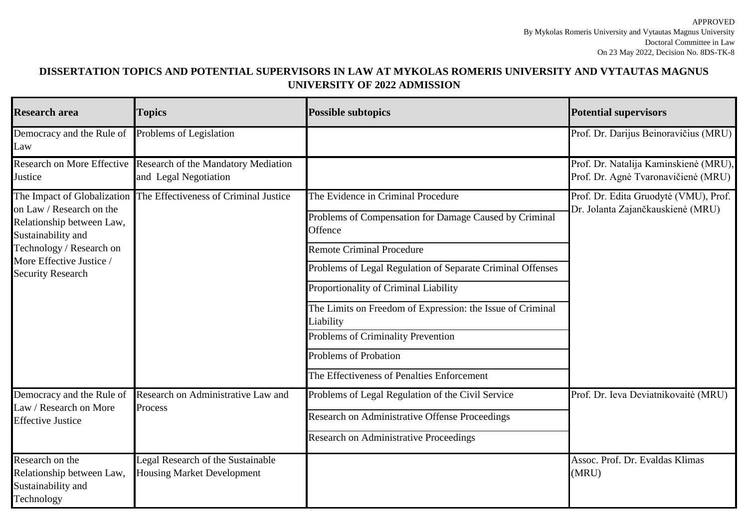## **DISSERTATION TOPICS AND POTENTIAL SUPERVISORS IN LAW AT MYKOLAS ROMERIS UNIVERSITY AND VYTAUTAS MAGNUS UNIVERSITY OF 2022 ADMISSION**

| <b>Research area</b>                                                                                                                                                                           | <b>Topics</b>                                                          | <b>Possible subtopics</b>                                                                                                                                                                                                                                                                                                                                                                                                                         | <b>Potential supervisors</b>                                                 |
|------------------------------------------------------------------------------------------------------------------------------------------------------------------------------------------------|------------------------------------------------------------------------|---------------------------------------------------------------------------------------------------------------------------------------------------------------------------------------------------------------------------------------------------------------------------------------------------------------------------------------------------------------------------------------------------------------------------------------------------|------------------------------------------------------------------------------|
| Democracy and the Rule of<br>Law                                                                                                                                                               | Problems of Legislation                                                |                                                                                                                                                                                                                                                                                                                                                                                                                                                   | Prof. Dr. Darijus Beinoravičius (MRU)                                        |
| <b>Research on More Effective</b><br>Justice                                                                                                                                                   | Research of the Mandatory Mediation<br>and Legal Negotiation           |                                                                                                                                                                                                                                                                                                                                                                                                                                                   | Prof. Dr. Natalija Kaminskienė (MRU).<br>Prof. Dr. Agnė Tvaronavičienė (MRU) |
| The Impact of Globalization<br>on Law / Research on the<br>Relationship between Law,<br>Sustainability and<br>Technology / Research on<br>More Effective Justice /<br><b>Security Research</b> | The Effectiveness of Criminal Justice                                  | The Evidence in Criminal Procedure<br>Problems of Compensation for Damage Caused by Criminal<br>Offence<br><b>Remote Criminal Procedure</b><br>Problems of Legal Regulation of Separate Criminal Offenses<br>Proportionality of Criminal Liability<br>The Limits on Freedom of Expression: the Issue of Criminal<br>Liability<br>Problems of Criminality Prevention<br><b>Problems of Probation</b><br>The Effectiveness of Penalties Enforcement | Prof. Dr. Edita Gruodytė (VMU), Prof.<br>Dr. Jolanta Zajančkauskienė (MRU)   |
| Democracy and the Rule of<br>Law / Research on More<br><b>Effective Justice</b>                                                                                                                | Research on Administrative Law and<br>Process                          | Problems of Legal Regulation of the Civil Service<br>Research on Administrative Offense Proceedings<br>Research on Administrative Proceedings                                                                                                                                                                                                                                                                                                     | Prof. Dr. Ieva Deviatnikovaitė (MRU)                                         |
| Research on the<br>Relationship between Law,<br>Sustainability and<br>Technology                                                                                                               | Legal Research of the Sustainable<br><b>Housing Market Development</b> |                                                                                                                                                                                                                                                                                                                                                                                                                                                   | Assoc. Prof. Dr. Evaldas Klimas<br>(MRU)                                     |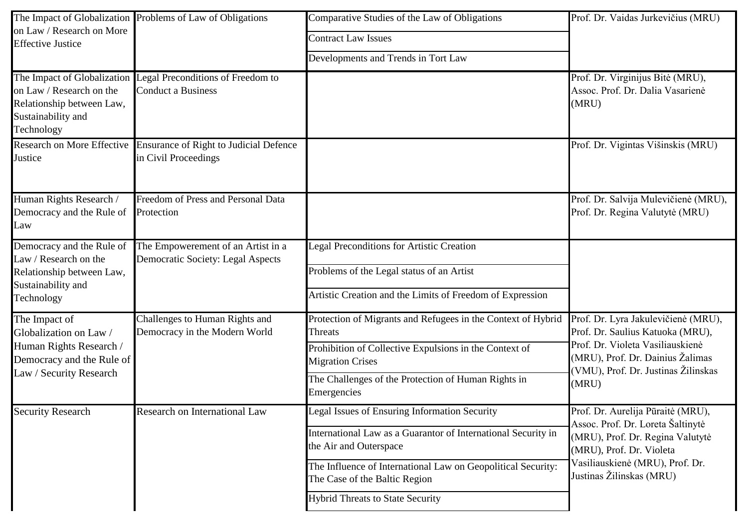| on Law / Research on More                                                                                                  | The Impact of Globalization Problems of Law of Obligations                                 | Comparative Studies of the Law of Obligations<br>Prof. Dr. Vaidas Jurkevičius (MRU)                                                                                                                                                                                                  |                                                                                                                                                                                                       |
|----------------------------------------------------------------------------------------------------------------------------|--------------------------------------------------------------------------------------------|--------------------------------------------------------------------------------------------------------------------------------------------------------------------------------------------------------------------------------------------------------------------------------------|-------------------------------------------------------------------------------------------------------------------------------------------------------------------------------------------------------|
| <b>Effective Justice</b>                                                                                                   |                                                                                            | <b>Contract Law Issues</b><br>Developments and Trends in Tort Law                                                                                                                                                                                                                    |                                                                                                                                                                                                       |
| on Law / Research on the<br>Relationship between Law,<br>Sustainability and<br>Technology                                  | The Impact of Globalization Legal Preconditions of Freedom to<br><b>Conduct a Business</b> |                                                                                                                                                                                                                                                                                      | Prof. Dr. Virginijus Bitė (MRU),<br>Assoc. Prof. Dr. Dalia Vasarienė<br>(MRU)                                                                                                                         |
| Research on More Effective<br>Justice                                                                                      | <b>Ensurance of Right to Judicial Defence</b><br>in Civil Proceedings                      |                                                                                                                                                                                                                                                                                      | Prof. Dr. Vigintas Višinskis (MRU)                                                                                                                                                                    |
| Human Rights Research /<br>Democracy and the Rule of<br>Law                                                                | Freedom of Press and Personal Data<br>Protection                                           |                                                                                                                                                                                                                                                                                      | Prof. Dr. Salvija Mulevičienė (MRU),<br>Prof. Dr. Regina Valutytė (MRU)                                                                                                                               |
| Democracy and the Rule of<br>Law / Research on the<br>Relationship between Law,<br>Sustainability and<br>Technology        | The Empowerement of an Artist in a<br>Democratic Society: Legal Aspects                    | <b>Legal Preconditions for Artistic Creation</b><br>Problems of the Legal status of an Artist<br>Artistic Creation and the Limits of Freedom of Expression                                                                                                                           |                                                                                                                                                                                                       |
| The Impact of<br>Globalization on Law /<br>Human Rights Research /<br>Democracy and the Rule of<br>Law / Security Research | Challenges to Human Rights and<br>Democracy in the Modern World                            | Protection of Migrants and Refugees in the Context of Hybrid<br>Threats<br>Prohibition of Collective Expulsions in the Context of<br><b>Migration Crises</b><br>The Challenges of the Protection of Human Rights in<br>Emergencies                                                   | Prof. Dr. Lyra Jakulevičienė (MRU),<br>Prof. Dr. Saulius Katuoka (MRU),<br>Prof. Dr. Violeta Vasiliauskienė<br>(MRU), Prof. Dr. Dainius Žalimas<br>(VMU), Prof. Dr. Justinas Žilinskas<br>(MRU)       |
| <b>Security Research</b>                                                                                                   | <b>Research on International Law</b>                                                       | Legal Issues of Ensuring Information Security<br>International Law as a Guarantor of International Security in<br>the Air and Outerspace<br>The Influence of International Law on Geopolitical Security:<br>The Case of the Baltic Region<br><b>Hybrid Threats to State Security</b> | Prof. Dr. Aurelija Pūraitė (MRU),<br>Assoc. Prof. Dr. Loreta Šaltinytė<br>(MRU), Prof. Dr. Regina Valutytė<br>(MRU), Prof. Dr. Violeta<br>Vasiliauskienė (MRU), Prof. Dr.<br>Justinas Žilinskas (MRU) |